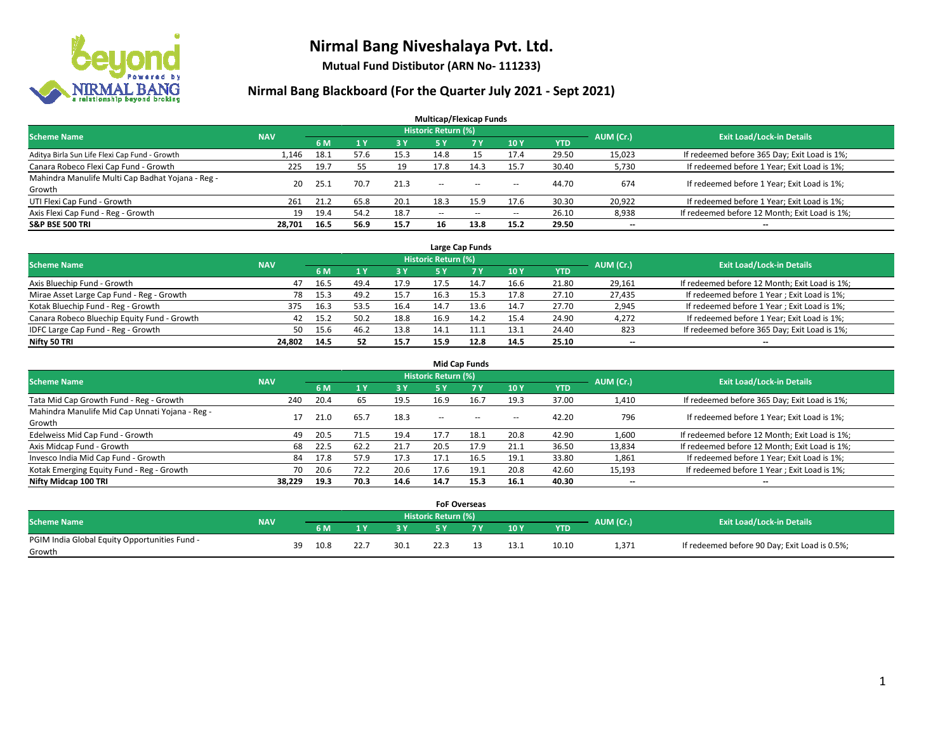

**Mutual Fund Distibutor (ARN No- 111233)**

### **Nirmal Bang Blackboard (For the Quarter July 2021 - Sept 2021)**

| <b>Multicap/Flexicap Funds</b>                    |            |      |           |           |                            |            |            |            |           |                                               |  |  |  |
|---------------------------------------------------|------------|------|-----------|-----------|----------------------------|------------|------------|------------|-----------|-----------------------------------------------|--|--|--|
| <b>Scheme Name</b>                                | <b>NAV</b> |      |           |           | <b>Historic Return (%)</b> |            |            |            | AUM (Cr.) | <b>Exit Load/Lock-in Details</b>              |  |  |  |
|                                                   |            | 6 M  | <b>1Y</b> | <b>3Y</b> | <b>5Y</b>                  | <b>7 Y</b> | <b>10Y</b> | <b>YTD</b> |           |                                               |  |  |  |
| Aditya Birla Sun Life Flexi Cap Fund - Growth     | 1.146      | 18.1 | 57.6      | 15.3      | 14.8                       | 15         | 17.4       | 29.50      | 15,023    | If redeemed before 365 Day; Exit Load is 1%;  |  |  |  |
| Canara Robeco Flexi Cap Fund - Growth             | 225        | 19.7 | 55        | 19        | 17.8                       | 14.3       | 15.7       | 30.40      | 5,730     | If redeemed before 1 Year; Exit Load is 1%;   |  |  |  |
| Mahindra Manulife Multi Cap Badhat Yojana - Reg - | 20         | 25.1 | 70.7      | 21.3      | $\overline{\phantom{a}}$   |            |            | 44.70      | 674       | If redeemed before 1 Year; Exit Load is 1%;   |  |  |  |
| Growth                                            |            |      |           |           |                            | $\sim$     | --         |            |           |                                               |  |  |  |
| UTI Flexi Cap Fund - Growth                       | 261        | 21.2 | 65.8      | 20.1      | 18.3                       | 15.9       | 17.6       | 30.30      | 20,922    | If redeemed before 1 Year; Exit Load is 1%;   |  |  |  |
| Axis Flexi Cap Fund - Reg - Growth                | 19         | 19.4 | 54.2      | 18.7      | $\overline{\phantom{a}}$   | $-$        | --         | 26.10      | 8,938     | If redeemed before 12 Month; Exit Load is 1%; |  |  |  |
| <b>S&amp;P BSE 500 TRI</b>                        | 28.701     | 16.5 | 56.9      | 15.7      | 16                         | 13.8       | 15.2       | 29.50      | --        | $\overline{\phantom{m}}$                      |  |  |  |

| Large Cap Funds                             |            |      |      |      |                            |      |      |       |           |                                               |  |  |  |
|---------------------------------------------|------------|------|------|------|----------------------------|------|------|-------|-----------|-----------------------------------------------|--|--|--|
| <b>Scheme Name</b>                          | <b>NAV</b> |      |      |      | <b>Historic Return (%)</b> |      |      |       | AUM (Cr.) | <b>Exit Load/Lock-in Details</b>              |  |  |  |
|                                             |            | 6 M  |      | 3 Y  |                            | 7 Y  | 10Y  | YTD   |           |                                               |  |  |  |
| Axis Bluechip Fund - Growth                 | 47         | 16.5 | 49.4 | 17.9 | 17.5                       | 14.7 | 16.6 | 21.80 | 29,161    | If redeemed before 12 Month; Exit Load is 1%; |  |  |  |
| Mirae Asset Large Cap Fund - Reg - Growth   | 78         | 15.3 | 49.2 | 15.7 | 16.3                       | 15.3 | 17.8 | 27.10 | 27,435    | If redeemed before 1 Year; Exit Load is 1%;   |  |  |  |
| Kotak Bluechip Fund - Reg - Growth          | 375        | 16.3 | 53.5 | 16.4 | 14.7                       | 13.6 | 14.7 | 27.70 | 2,945     | If redeemed before 1 Year; Exit Load is 1%;   |  |  |  |
| Canara Robeco Bluechip Equity Fund - Growth | 42         | 15.2 | 50.2 | 18.8 | 16.9                       | 14.2 | 15.4 | 24.90 | 4,272     | If redeemed before 1 Year; Exit Load is 1%;   |  |  |  |
| IDFC Large Cap Fund - Reg - Growth          | 50         | 15.6 | 46.2 | 13.8 | 14.1                       |      | 13.1 | 24.40 | 823       | If redeemed before 365 Day; Exit Load is 1%;  |  |  |  |
| Nifty 50 TRI                                | 24.802     | 14.5 | 52   | 15.7 | 15.9                       | 12.8 | 14.5 | 25.10 | $- -$     | $\overline{\phantom{a}}$                      |  |  |  |

| <b>Mid Cap Funds</b>                            |            |           |      |      |                     |           |                          |            |           |                                               |  |  |  |
|-------------------------------------------------|------------|-----------|------|------|---------------------|-----------|--------------------------|------------|-----------|-----------------------------------------------|--|--|--|
| <b>Scheme Name</b>                              | <b>NAV</b> |           |      |      | Historic Return (%) |           |                          |            | AUM (Cr.) | <b>Exit Load/Lock-in Details</b>              |  |  |  |
|                                                 |            | <b>6M</b> |      | 3 Y  | <b>5 Y</b>          | <b>7Y</b> | 10Y                      | <b>YTD</b> |           |                                               |  |  |  |
| Tata Mid Cap Growth Fund - Reg - Growth         | 240        | 20.4      | 65   | 19.5 | 16.9                | 16.7      | 19.3                     | 37.00      | 1,410     | If redeemed before 365 Day; Exit Load is 1%;  |  |  |  |
| Mahindra Manulife Mid Cap Unnati Yojana - Reg - |            | 21.0      | 65.7 | 18.3 | $-$                 | $\sim$    | $\overline{\phantom{a}}$ | 42.20      | 796       | If redeemed before 1 Year; Exit Load is 1%;   |  |  |  |
| Growth                                          |            |           |      |      |                     |           |                          |            |           |                                               |  |  |  |
| Edelweiss Mid Cap Fund - Growth                 | 49         | 20.5      | 71.5 | 19.4 | 17.7                | 18.1      | 20.8                     | 42.90      | 1,600     | If redeemed before 12 Month; Exit Load is 1%; |  |  |  |
| Axis Midcap Fund - Growth                       | 68         | 22.5      | 62.2 | 21.7 | 20.5                | 17.9      | 21.1                     | 36.50      | 13,834    | If redeemed before 12 Month; Exit Load is 1%; |  |  |  |
| Invesco India Mid Cap Fund - Growth             | 84         | 17.8      | 57.9 | 17.3 | 17.1                | 16.5      | 19.1                     | 33.80      | 1,861     | If redeemed before 1 Year; Exit Load is 1%;   |  |  |  |
| Kotak Emerging Equity Fund - Reg - Growth       | 70         | 20.6      | 72.2 | 20.6 | 17.6                | 19.1      | 20.8                     | 42.60      | 15,193    | If redeemed before 1 Year; Exit Load is 1%;   |  |  |  |
| Nifty Midcap 100 TRI                            | 38.229     | 19.3      | 70.3 | 14.6 | 14.7                | 15.3      | 16.1                     | 40.30      | $- -$     | $\overline{\phantom{a}}$                      |  |  |  |

|                                               |            |    |      |      |      | <b>FoF Overseas</b>        |     |      |            |           |                                               |
|-----------------------------------------------|------------|----|------|------|------|----------------------------|-----|------|------------|-----------|-----------------------------------------------|
| <b>Scheme Name</b>                            | <b>NAV</b> |    |      |      |      | <b>Historic Return (%)</b> |     |      |            | AUM (Cr.) | <b>Exit Load/Lock-in Details</b>              |
|                                               |            |    | 6 M  |      | 2V   |                            | 7 V | 10Y  | <b>YTD</b> |           |                                               |
| PGIM India Global Equity Opportunities Fund - |            | 39 | 10.8 | 22.7 | 30.1 |                            |     | 13.1 | 10.10      | 1,371     | If redeemed before 90 Day; Exit Load is 0.5%; |
| Growth                                        |            |    |      |      |      |                            |     |      |            |           |                                               |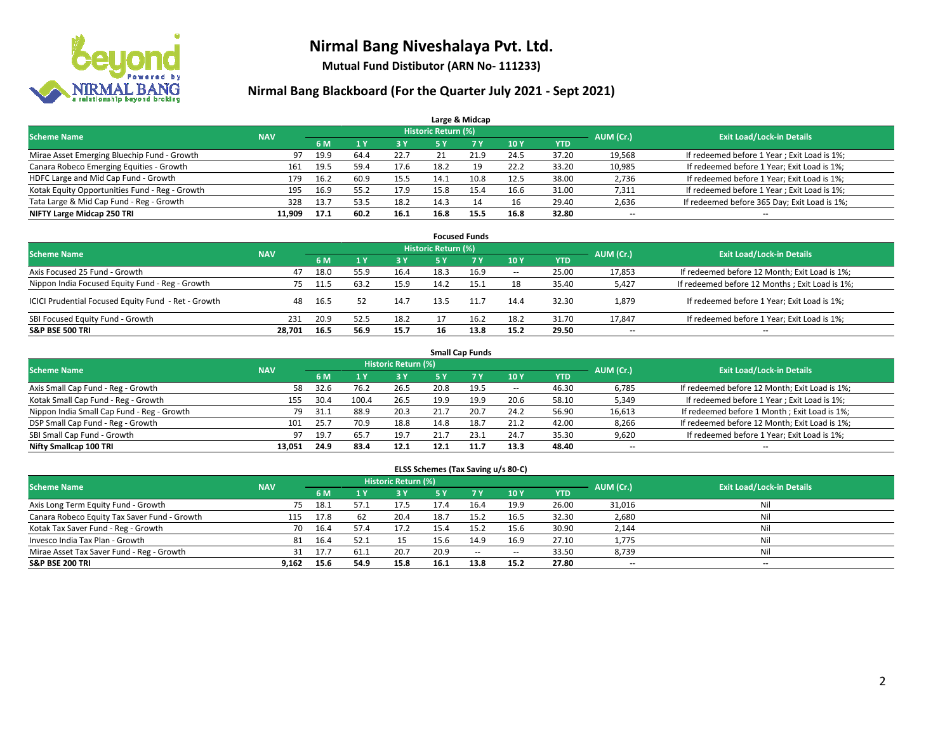

**Mutual Fund Distibutor (ARN No- 111233)**

### **Nirmal Bang Blackboard (For the Quarter July 2021 - Sept 2021)**

|                                                |            |      |      |       |                            | Large & Midcap |      |            |                                  |                                              |
|------------------------------------------------|------------|------|------|-------|----------------------------|----------------|------|------------|----------------------------------|----------------------------------------------|
| <b>Scheme Name</b>                             | <b>NAV</b> |      |      |       | <b>Historic Return (%)</b> |                |      | AUM (Cr.)  | <b>Exit Load/Lock-in Details</b> |                                              |
|                                                |            | 6 M  |      | 73 Y. | <b>5 Y</b>                 | <b>7Y</b>      | 10Y  | <b>YTD</b> |                                  |                                              |
| Mirae Asset Emerging Bluechip Fund - Growth    | 97         | 19.9 | 64.4 | 22.7  |                            | 21.9           | 24.5 | 37.20      | 19,568                           | If redeemed before 1 Year; Exit Load is 1%;  |
| Canara Robeco Emerging Equities - Growth       | 161        | 19.5 | 59.4 | 17.6  | 18.2                       | 19             | 22.2 | 33.20      | 10,985                           | If redeemed before 1 Year; Exit Load is 1%;  |
| HDFC Large and Mid Cap Fund - Growth           | 179        | 16.2 | 60.9 | 15.5  | 14.1                       | 10.8           | 12.5 | 38.00      | 2,736                            | If redeemed before 1 Year; Exit Load is 1%;  |
| Kotak Equity Opportunities Fund - Reg - Growth | 195        | 16.9 | 55.2 | 17.9  | 15.8                       | 15.4           | 16.6 | 31.00      | 7,311                            | If redeemed before 1 Year; Exit Load is 1%;  |
| Tata Large & Mid Cap Fund - Reg - Growth       | 328        | 13.7 | 53.5 | 18.2  | 14.3                       | 14             | 16   | 29.40      | 2,636                            | If redeemed before 365 Day; Exit Load is 1%; |
| NIFTY Large Midcap 250 TRI                     | 11.909     | 17.1 | 60.2 | 16.1  | 16.8                       | 15.5           | 16.8 | 32.80      | $- -$                            | $\overline{\phantom{a}}$                     |

| <b>Focused Funds</b>                                |            |      |      |      |                     |           |                          |       |                          |                                                |  |  |  |  |
|-----------------------------------------------------|------------|------|------|------|---------------------|-----------|--------------------------|-------|--------------------------|------------------------------------------------|--|--|--|--|
| <b>Scheme Name</b>                                  | <b>NAV</b> |      |      |      | Historic Return (%) |           |                          |       | AUM (Cr.)                | <b>Exit Load/Lock-in Details</b>               |  |  |  |  |
|                                                     |            | 6 M  |      | 3V   | 5 Y                 | <b>7Y</b> | 10Y                      | YTD   |                          |                                                |  |  |  |  |
| Axis Focused 25 Fund - Growth                       | 47         | 18.0 | 55.9 | 16.4 | 18.3                | 16.9      | $\hspace{0.05cm} \cdots$ | 25.00 | 17,853                   | If redeemed before 12 Month; Exit Load is 1%;  |  |  |  |  |
| Nippon India Focused Equity Fund - Reg - Growth     | 75         | 11.5 | 63.2 | 15.9 | 14.2                | 15.1      | 18                       | 35.40 | 5,427                    | If redeemed before 12 Months; Exit Load is 1%; |  |  |  |  |
| ICICI Prudential Focused Equity Fund - Ret - Growth | 48         | 16.5 |      | 14.7 | 13.5                | 11.7      | 14.4                     | 32.30 | 1,879                    | If redeemed before 1 Year; Exit Load is 1%;    |  |  |  |  |
| SBI Focused Equity Fund - Growth                    | 231        | 20.9 | 52.5 | 18.2 |                     | 16.2      | 18.2                     | 31.70 | 17,847                   | If redeemed before 1 Year; Exit Load is 1%;    |  |  |  |  |
| <b>S&amp;P BSE 500 TRI</b>                          | 28.701     | 16.5 | 56.9 | 15.7 | 16                  | 13.8      | 15.2                     | 29.50 | $\overline{\phantom{a}}$ | $\overline{\phantom{m}}$                       |  |  |  |  |

| <b>Small Cap Funds</b>                     |            |           |                                  |       |      |           |                          |            |                          |                                               |  |  |  |  |
|--------------------------------------------|------------|-----------|----------------------------------|-------|------|-----------|--------------------------|------------|--------------------------|-----------------------------------------------|--|--|--|--|
| <b>Scheme Name</b>                         | <b>NAV</b> | AUM (Cr.) | <b>Exit Load/Lock-in Details</b> |       |      |           |                          |            |                          |                                               |  |  |  |  |
|                                            |            | 6 M       |                                  | 73 Y. | 5 Y  | <b>7Y</b> | <b>10Y</b>               | <b>YTD</b> |                          |                                               |  |  |  |  |
| Axis Small Cap Fund - Reg - Growth         | 58         | 32.6      | 76.2                             | 26.5  | 20.8 | 19.5      | $\overline{\phantom{a}}$ | 46.30      | 6,785                    | If redeemed before 12 Month; Exit Load is 1%; |  |  |  |  |
| Kotak Small Cap Fund - Reg - Growth        | 155        | 30.4      | 100.4                            | 26.5  | 19.9 | 19.9      | 20.6                     | 58.10      | 5,349                    | If redeemed before 1 Year; Exit Load is 1%;   |  |  |  |  |
| Nippon India Small Cap Fund - Reg - Growth | 79         | 31.1      | 88.9                             | 20.3  | 21.7 | 20.7      | 24.2                     | 56.90      | 16,613                   | If redeemed before 1 Month; Exit Load is 1%;  |  |  |  |  |
| DSP Small Cap Fund - Reg - Growth          | 101        | 25.7      | 70.9                             | 18.8  | 14.8 | 18.7      | 21.2                     | 42.00      | 8,266                    | If redeemed before 12 Month; Exit Load is 1%; |  |  |  |  |
| SBI Small Cap Fund - Growth                | 97         | 19.7      | 65.7                             | 19.7  | 21.7 | 23.1      | 24.7                     | 35.30      | 9,620                    | If redeemed before 1 Year; Exit Load is 1%;   |  |  |  |  |
| Nifty Smallcap 100 TRI                     | 13.051     | 24.9      | 83.4                             | 12.1  | 12.1 |           | 13.3                     | 48.40      | $\overline{\phantom{m}}$ | $- -$                                         |  |  |  |  |

#### **ELSS Schemes (Tax Saving u/s 80-C)**

| <b>Scheme Name</b>                           | <b>NAV</b> |      |      | <b>Historic Return (%)</b> |           |      |                          |            | AUM (Cr.) | <b>Exit Load/Lock-in Details</b> |
|----------------------------------------------|------------|------|------|----------------------------|-----------|------|--------------------------|------------|-----------|----------------------------------|
|                                              |            | 6 M  |      | 73 Y.                      | <b>5Y</b> |      | <b>10Y</b>               | <b>YTD</b> |           |                                  |
| Axis Long Term Equity Fund - Growth          | 75         | 18.1 | 57.1 | 17.5                       | 17.4      | 16.4 | 19.9                     | 26.00      | 31,016    | Nil                              |
| Canara Robeco Equity Tax Saver Fund - Growth | 115        | 17.8 | 62   | 20.4                       | 18.7      | 15.2 | 16.5                     | 32.30      | 2,680     | Nil                              |
| Kotak Tax Saver Fund - Reg - Growth          | 70         | 16.4 | 57.4 | 17.2                       | 15.4      | 15.2 | 15.6                     | 30.90      | 2,144     | Nil                              |
| Invesco India Tax Plan - Growth              | 81         | 16.4 | 52.1 | 15                         | 15.6      | 14.9 | 16.9                     | 27.10      | 1,775     | Nil                              |
| Mirae Asset Tax Saver Fund - Reg - Growth    | 31         | 17.7 | 61.1 | 20.7                       | 20.9      | $-$  | $\overline{\phantom{a}}$ | 33.50      | 8,739     | Nil                              |
| <b>S&amp;P BSE 200 TRI</b>                   | 9,162      | 15.6 | 54.9 | 15.8                       | 16.1      | 13.8 | 15.2                     | 27.80      | $- -$     | --                               |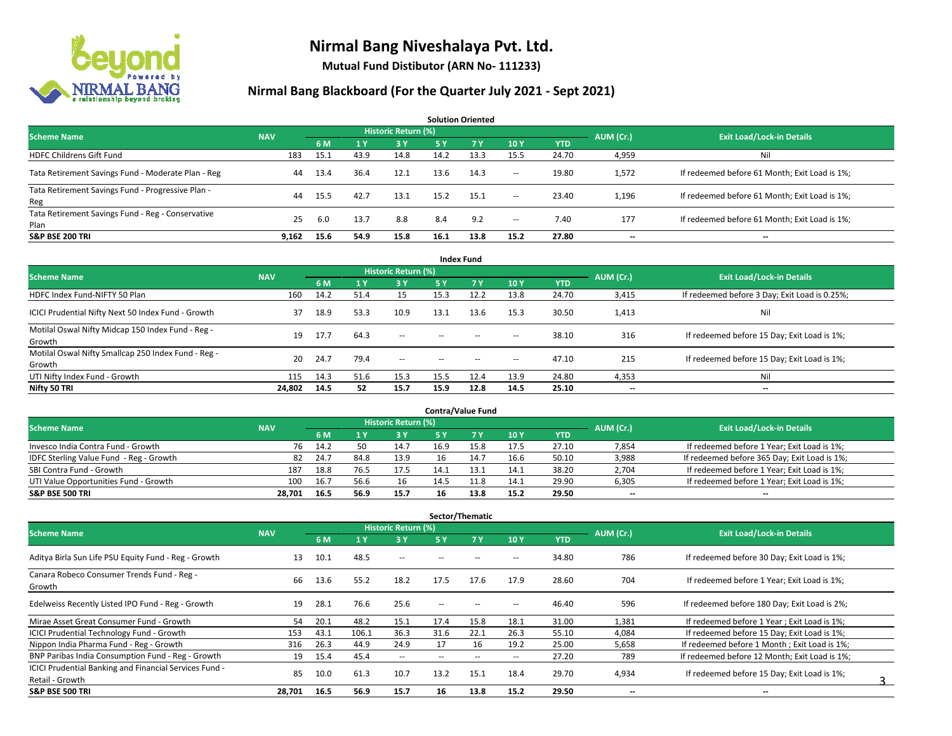

**Mutual Fund Distibutor (ARN No- 111233)**

#### **Nirmal Bang Blackboard (For the Quarter July 2021 - Sept 2021)**

**6 M 1 Y 3 Y 5 Y 7 Y 10 Y YTD** HDFC Childrens Gift Fund 183 15.1 43.9 14.8 14.2 13.3 15.5 24.70 4,959 Nil Tata Retirement Savings Fund - Moderate Plan - Reg and August 2014 13.4 36.4 12.1 13.6 14.3 -- 19.80 1,572 If redeemed before 61 Month; Exit Load is 1%; Tata Retirement Savings Fund - Progressive Plan - Reg 44 15.5 42.7 13.1 15.2 15.1 -- 23.40 1,196 If redeemed before 61 Month; Exit Load is 1%; Tata Retirement Savings Fund - Reg - Conservative Plan 200 13.7 8.8 8.4 9.2 - 7.40 177 If redeemed before 61 Month; Exit Load is 1%;<br>Plan **S&P BSE 200 TRI 9,162 15.6 54.9 15.8 16.1 13.8 15.2 27.80 -- -- AUM (Cr.) Exit Load/Lock-in Details Solution Oriented Scheme Name** Name Name National Accounts of the NAV *Historic Return (%)* 

| <b>Index Fund</b>                                             |            |      |                |                            |               |        |                          |            |           |                                               |  |  |  |  |
|---------------------------------------------------------------|------------|------|----------------|----------------------------|---------------|--------|--------------------------|------------|-----------|-----------------------------------------------|--|--|--|--|
| <b>Scheme Name</b>                                            | <b>NAV</b> |      |                | <b>Historic Return (%)</b> |               |        |                          |            | AUM (Cr.) | <b>Exit Load/Lock-in Details</b>              |  |  |  |  |
|                                                               |            | 6 M  | 1 <sup>1</sup> | 3 Y                        | <b>5Y</b>     | 7Y     | 10Y                      | <b>YTD</b> |           |                                               |  |  |  |  |
| HDFC Index Fund-NIFTY 50 Plan                                 | 160        | 14.2 | 51.4           | 15                         | 15.3          | 12.2   | 13.8                     | 24.70      | 3,415     | If redeemed before 3 Day; Exit Load is 0.25%; |  |  |  |  |
| ICICI Prudential Nifty Next 50 Index Fund - Growth            | 37         | 18.9 | 53.3           | 10.9                       | 13.1          | 13.6   | 15.3                     | 30.50      | 1,413     | Nil                                           |  |  |  |  |
| Motilal Oswal Nifty Midcap 150 Index Fund - Reg -<br>Growth   | 19         | 17.7 | 64.3           | $\overline{\phantom{a}}$   | $\sim$ $\sim$ | $\sim$ | $\overline{\phantom{a}}$ | 38.10      | 316       | If redeemed before 15 Day; Exit Load is 1%;   |  |  |  |  |
| Motilal Oswal Nifty Smallcap 250 Index Fund - Reg -<br>Growth | 20         | 24.7 | 79.4           | $\sim$                     | $\sim$        | $\sim$ | $\sim$                   | 47.10      | 215       | If redeemed before 15 Day; Exit Load is 1%;   |  |  |  |  |
| UTI Nifty Index Fund - Growth                                 | 115        | 14.3 | 51.6           | 15.3                       | 15.5          | 12.4   | 13.9                     | 24.80      | 4,353     | Nil                                           |  |  |  |  |
| Nifty 50 TRI                                                  | 24,802     | 14.5 | 52             | 15.7                       | 15.9          | 12.8   | 14.5                     | 25.10      | $- -$     | $\overline{\phantom{a}}$                      |  |  |  |  |

| <b>Contra/Value Fund</b>                |            |      |      |                     |      |      |      |            |           |                                              |  |  |  |
|-----------------------------------------|------------|------|------|---------------------|------|------|------|------------|-----------|----------------------------------------------|--|--|--|
| <b>Scheme Name</b>                      | <b>NAV</b> |      |      | Historic Return (%) |      |      |      |            | AUM (Cr.) | <b>Exit Load/Lock-in Details</b>             |  |  |  |
|                                         |            | 6 M  |      | 3 Y                 |      |      | 10Y  | <b>YTD</b> |           |                                              |  |  |  |
| Invesco India Contra Fund - Growth      | 76         | 14.2 | 50   | 14.7                | 16.9 | 15.8 | 17.5 | 27.10      | 7,854     | If redeemed before 1 Year; Exit Load is 1%;  |  |  |  |
| IDFC Sterling Value Fund - Reg - Growth | 82         | 24.7 | 84.8 | 13.9                | 16   |      | 16.6 | 50.10      | 3,988     | If redeemed before 365 Day; Exit Load is 1%; |  |  |  |
| SBI Contra Fund - Growth                | 187        | 18.8 | 76.5 | 17.5                |      | 13.1 | 14.1 | 38.20      | 2,704     | If redeemed before 1 Year; Exit Load is 1%;  |  |  |  |
| UTI Value Opportunities Fund - Growth   | 100        | 16.7 | 56.6 | 16                  | 14.5 | .1.8 | 14.1 | 29.90      | 6,305     | If redeemed before 1 Year; Exit Load is 1%;  |  |  |  |
| <b>S&amp;P BSE 500 TRI</b>              | 28.701     | 16.5 | 56.9 | 15.7                | 16   | 13.8 | 15.2 | 29.50      | $- -$     | $-$                                          |  |  |  |

| Sector/Thematic                                                           |            |      |       |                            |      |                          |                          |            |                          |                                               |  |  |  |
|---------------------------------------------------------------------------|------------|------|-------|----------------------------|------|--------------------------|--------------------------|------------|--------------------------|-----------------------------------------------|--|--|--|
| <b>Scheme Name</b>                                                        | <b>NAV</b> |      |       | <b>Historic Return (%)</b> |      |                          |                          |            | AUM (Cr.)                | <b>Exit Load/Lock-in Details</b>              |  |  |  |
|                                                                           |            | 6 M  | 1 Y   | 3 Y                        | 5 Y  | <b>7Y</b>                | 10Y                      | <b>YTD</b> |                          |                                               |  |  |  |
| Aditya Birla Sun Life PSU Equity Fund - Reg - Growth                      | 13         | 10.1 | 48.5  | $\overline{\phantom{a}}$   | --   |                          | -                        | 34.80      | 786                      | If redeemed before 30 Day; Exit Load is 1%;   |  |  |  |
| Canara Robeco Consumer Trends Fund - Reg -<br>Growth                      | 66         | 13.6 | 55.2  | 18.2                       | 17.5 | 17.6                     | 17.9                     | 28.60      | 704                      | If redeemed before 1 Year; Exit Load is 1%;   |  |  |  |
| Edelweiss Recently Listed IPO Fund - Reg - Growth                         | 19         | 28.1 | 76.6  | 25.6                       | --   |                          |                          | 46.40      | 596                      | If redeemed before 180 Day; Exit Load is 2%;  |  |  |  |
| Mirae Asset Great Consumer Fund - Growth                                  | 54         | 20.1 | 48.2  | 15.1                       | 17.4 | 15.8                     | 18.1                     | 31.00      | 1,381                    | If redeemed before 1 Year; Exit Load is 1%;   |  |  |  |
| <b>ICICI Prudential Technology Fund - Growth</b>                          | 153        | 43.1 | 106.1 | 36.3                       | 31.6 | 22.1                     | 26.3                     | 55.10      | 4,084                    | If redeemed before 15 Day; Exit Load is 1%;   |  |  |  |
| Nippon India Pharma Fund - Reg - Growth                                   | 316        | 26.3 | 44.9  | 24.9                       | 17   | 16                       | 19.2                     | 25.00      | 5,658                    | If redeemed before 1 Month; Exit Load is 1%;  |  |  |  |
| BNP Paribas India Consumption Fund - Reg - Growth                         | 19         | 15.4 | 45.4  | $\sim$                     | $-$  | $\overline{\phantom{a}}$ | $\overline{\phantom{a}}$ | 27.20      | 789                      | If redeemed before 12 Month: Exit Load is 1%: |  |  |  |
| ICICI Prudential Banking and Financial Services Fund -<br>Retail - Growth | 85         | 10.0 | 61.3  | 10.7                       | 13.2 | 15.1                     | 18.4                     | 29.70      | 4,934                    | If redeemed before 15 Day; Exit Load is 1%;   |  |  |  |
| <b>S&amp;P BSE 500 TRI</b>                                                | 28,701     | 16.5 | 56.9  | 15.7                       | 16   | 13.8                     | 15.2                     | 29.50      | $\overline{\phantom{a}}$ | --                                            |  |  |  |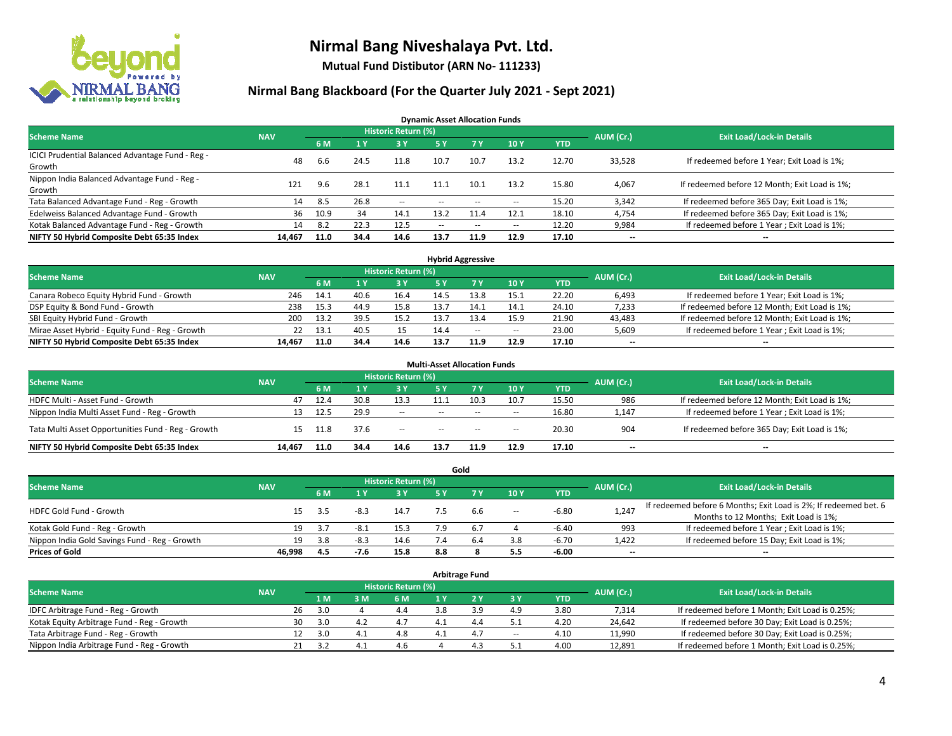

**Mutual Fund Distibutor (ARN No- 111233)**

#### **Nirmal Bang Blackboard (For the Quarter July 2021 - Sept 2021)**

**Dynamic Asset Allocation Funds**

| <b>Scheme Name</b>                                         | <b>NAV</b> |      |      | <b>Historic Return (%)</b> |        |           |       |            | AUM (Cr.)                | <b>Exit Load/Lock-in Details</b>              |
|------------------------------------------------------------|------------|------|------|----------------------------|--------|-----------|-------|------------|--------------------------|-----------------------------------------------|
|                                                            |            | 6 M  |      | <b>3Y</b>                  | 5 Y    | <b>7Y</b> | 10Y   | <b>YTD</b> |                          |                                               |
| ICICI Prudential Balanced Advantage Fund - Reg -<br>Growth | 48         | 6.6  | 24.5 | 11.8                       | 10.7   | 10.7      | 13.2  | 12.70      | 33,528                   | If redeemed before 1 Year; Exit Load is 1%;   |
| Nippon India Balanced Advantage Fund - Reg -<br>Growth     | 121        | 9.6  | 28.1 | 11.1                       | 11.1   | 10.1      | 13.2  | 15.80      | 4,067                    | If redeemed before 12 Month; Exit Load is 1%; |
| Tata Balanced Advantage Fund - Reg - Growth                | 14         | 8.5  | 26.8 | $\sim$                     | $\sim$ | $- -$     | $\!-$ | 15.20      | 3,342                    | If redeemed before 365 Day; Exit Load is 1%;  |
| Edelweiss Balanced Advantage Fund - Growth                 | 36         | 10.9 | -34  | 14.1                       | 13.2   | 11.4      | 12.1  | 18.10      | 4,754                    | If redeemed before 365 Day; Exit Load is 1%;  |
| Kotak Balanced Advantage Fund - Reg - Growth               | 14         | 8.2  | 22.3 | 12.5                       | $-$    | $\sim$    | $\!-$ | 12.20      | 9,984                    | If redeemed before 1 Year; Exit Load is 1%;   |
| NIFTY 50 Hybrid Composite Debt 65:35 Index                 | 14,467     | 11.0 | 34.4 | 14.6                       | 13.7   | 11.9      | 12.9  | 17.10      | $\overline{\phantom{a}}$ | --                                            |

| <b>Hybrid Aggressive</b>                        |            |      |      |                     |      |        |                          |            |           |                                               |  |  |  |
|-------------------------------------------------|------------|------|------|---------------------|------|--------|--------------------------|------------|-----------|-----------------------------------------------|--|--|--|
| <b>Scheme Name</b>                              | <b>NAV</b> |      |      | Historic Return (%) |      |        |                          |            | AUM (Cr.) | <b>Exit Load/Lock-in Details</b>              |  |  |  |
|                                                 |            | 6 M  |      | 3 Y                 |      |        | 10Y                      | <b>YTD</b> |           |                                               |  |  |  |
| Canara Robeco Equity Hybrid Fund - Growth       | 246        | 14.1 | 40.6 | 16.4                | 14.5 | 13.8   | 15.1                     | 22.20      | 6,493     | If redeemed before 1 Year; Exit Load is 1%;   |  |  |  |
| DSP Equity & Bond Fund - Growth                 | 238        | 15.3 | 44.9 | 15.8                | 13.7 |        | 14.1                     | 24.10      | 7,233     | If redeemed before 12 Month; Exit Load is 1%; |  |  |  |
| SBI Equity Hybrid Fund - Growth                 | 200        | 13.2 | 39.5 | 15.2                | 13.7 | 13.4   | 15.9                     | 21.90      | 43,483    | If redeemed before 12 Month; Exit Load is 1%; |  |  |  |
| Mirae Asset Hybrid - Equity Fund - Reg - Growth | 22         | 13.1 | 40.5 | 15                  | 14.4 | $\sim$ | $\overline{\phantom{a}}$ | 23.00      | 5,609     | If redeemed before 1 Year; Exit Load is 1%;   |  |  |  |
| NIFTY 50 Hybrid Composite Debt 65:35 Index      | 14.467     | 11.0 | 34.4 | 14.6                | 13.7 | 11.9   | 12.9                     | 17.10      | $- -$     | $- -$                                         |  |  |  |

| <b>Multi-Asset Allocation Funds</b>                |            |      |      |                            |               |        |       |            |                          |                                               |  |  |  |
|----------------------------------------------------|------------|------|------|----------------------------|---------------|--------|-------|------------|--------------------------|-----------------------------------------------|--|--|--|
| <b>Scheme Name</b>                                 | <b>NAV</b> |      |      | <b>Historic Return (%)</b> |               |        |       |            | AUM (Cr.)                | <b>Exit Load/Lock-in Details</b>              |  |  |  |
|                                                    |            | 6 M  |      | 3V                         | 5 Y           | 7V     | 10Y   | <b>YTD</b> |                          |                                               |  |  |  |
| HDFC Multi - Asset Fund - Growth                   | 47         | 12.4 | 30.8 | 13.3                       | 11.1          | 10.3   | 10.7  | 15.50      | 986                      | If redeemed before 12 Month; Exit Load is 1%; |  |  |  |
| Nippon India Multi Asset Fund - Reg - Growth       | 13         | 12.5 | 29.9 | $\sim$                     | $\sim$ $\sim$ | $\sim$ | $\!-$ | 16.80      | 1,147                    | If redeemed before 1 Year; Exit Load is 1%;   |  |  |  |
| Tata Multi Asset Opportunities Fund - Reg - Growth | 15         | 11.8 | 37.6 | $\sim$                     | $-$           | $\sim$ | --    | 20.30      | 904                      | If redeemed before 365 Day; Exit Load is 1%;  |  |  |  |
| NIFTY 50 Hybrid Composite Debt 65:35 Index         | 14.467     | 11.0 | 34.4 | 14.6                       | 13.7          | 11.9   | 12.9  | 17.10      | $\overline{\phantom{a}}$ | --                                            |  |  |  |

|                                               |            |     |        |                     |     | Gold |                          |            |           |                                                                  |
|-----------------------------------------------|------------|-----|--------|---------------------|-----|------|--------------------------|------------|-----------|------------------------------------------------------------------|
| <b>Scheme Name</b>                            | <b>NAV</b> |     |        | Historic Return (%) |     |      |                          |            | AUM (Cr.) | <b>Exit Load/Lock-in Details</b>                                 |
|                                               |            | 6 M |        | 73 Y.               |     |      | 10Y                      | <b>YTD</b> |           |                                                                  |
| HDFC Gold Fund - Growth                       |            | 3.5 | $-8.3$ | 14.7                |     | 6.6  | $\overline{\phantom{a}}$ | $-6.80$    | 1,247     | If redeemed before 6 Months; Exit Load is 2%; If redeemed bet. 6 |
|                                               |            |     |        |                     |     |      |                          |            |           | Months to 12 Months; Exit Load is 1%;                            |
| Kotak Gold Fund - Reg - Growth                |            | 19  | -8.1   | 15.3                |     |      |                          | $-6.40$    | 993       | If redeemed before 1 Year; Exit Load is 1%;                      |
| Nippon India Gold Savings Fund - Reg - Growth | 19         | 3.8 | $-8.3$ | 14.6                |     |      | 3.8                      | $-6.70$    | 1,422     | If redeemed before 15 Day; Exit Load is 1%;                      |
| <b>Prices of Gold</b>                         | 46.998     | 4.5 | $-7.6$ | 15.8                | 8.8 |      | 5.5                      | -6.00      | $- -$     | $\overline{\phantom{a}}$                                         |

| <b>Arbitrage Fund</b>                      |            |           |                                  |     |     |     |     |        |            |        |                                                 |  |  |
|--------------------------------------------|------------|-----------|----------------------------------|-----|-----|-----|-----|--------|------------|--------|-------------------------------------------------|--|--|
| <b>Scheme Name</b>                         | <b>NAV</b> | AUM (Cr.) | <b>Exit Load/Lock-in Details</b> |     |     |     |     |        |            |        |                                                 |  |  |
|                                            |            |           | 1 M                              | 3 M | 6 M |     |     | 3Y     | <b>YTD</b> |        |                                                 |  |  |
| IDFC Arbitrage Fund - Reg - Growth         |            | 26        | 3.0                              |     | 4.4 | 3.8 | 3.9 | 4.9    | 3.80       | 7,314  | If redeemed before 1 Month; Exit Load is 0.25%; |  |  |
| Kotak Equity Arbitrage Fund - Reg - Growth |            | 30        | 3.0                              | 4.2 | 4.7 |     | 4.4 |        | 4.20       | 24.642 | If redeemed before 30 Day; Exit Load is 0.25%;  |  |  |
| Tata Arbitrage Fund - Reg - Growth         |            |           | 3.0                              | 4.1 | 4.8 |     | 4.7 | $\sim$ | 4.10       | 11,990 | If redeemed before 30 Day; Exit Load is 0.25%;  |  |  |
| Nippon India Arbitrage Fund - Reg - Growth |            |           | 3.2                              | 4.⊥ | 4.6 |     | 4   |        | 4.00       | 12,891 | If redeemed before 1 Month; Exit Load is 0.25%; |  |  |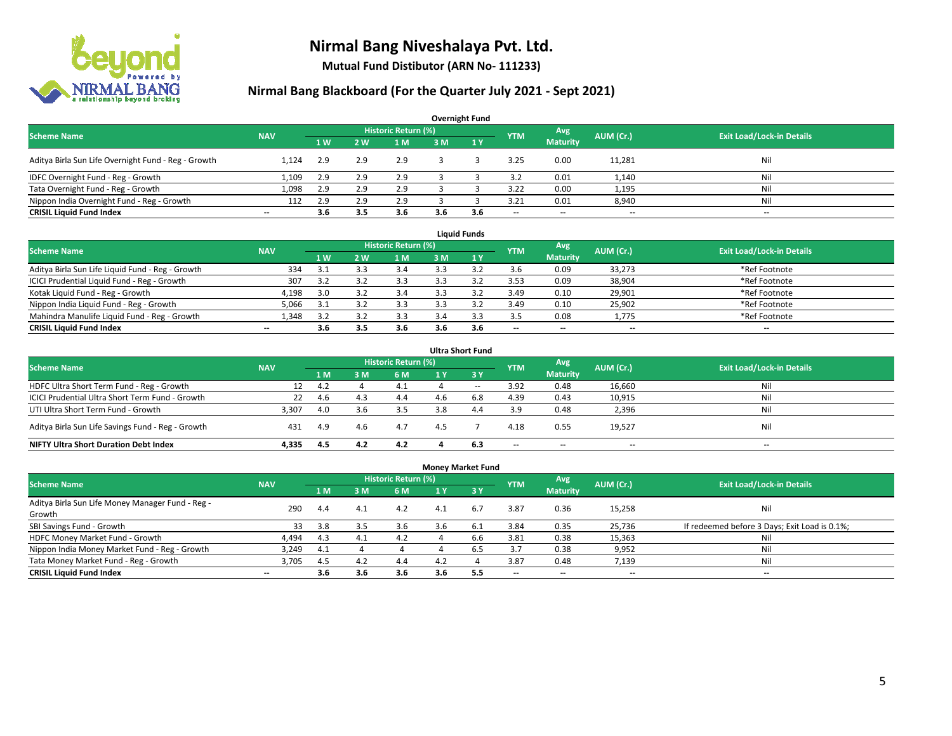

**Mutual Fund Distibutor (ARN No- 111233)**

### **Nirmal Bang Blackboard (For the Quarter July 2021 - Sept 2021)**

| <b>Overnight Fund</b>                               |                          |     |     |                            |     |     |            |                 |           |                                  |  |  |  |
|-----------------------------------------------------|--------------------------|-----|-----|----------------------------|-----|-----|------------|-----------------|-----------|----------------------------------|--|--|--|
| <b>Scheme Name</b>                                  | <b>NAV</b>               |     |     | <b>Historic Return (%)</b> |     |     | <b>YTM</b> | Avg             | AUM (Cr.) | <b>Exit Load/Lock-in Details</b> |  |  |  |
|                                                     |                          | 1W  | 2 W | 1 <sub>M</sub>             | 3M  | 1Y  |            | <b>Maturity</b> |           |                                  |  |  |  |
| Aditya Birla Sun Life Overnight Fund - Reg - Growth | 1.124                    | 2.9 | 2.9 | 2.9                        |     |     | 3.25       | 0.00            | 11,281    | Nil                              |  |  |  |
| IDFC Overnight Fund - Reg - Growth                  | 1,109                    | 2.9 | 2.9 | 2.9                        |     |     | 3.2        | 0.01            | 1,140     | Nil                              |  |  |  |
| Tata Overnight Fund - Reg - Growth                  | 1,098                    | 2.9 |     | 2.9                        |     |     | 3.22       | 0.00            | 1,195     | Nil                              |  |  |  |
| Nippon India Overnight Fund - Reg - Growth          | 112                      | 2.9 |     | 2.9                        |     |     | 3.21       | 0.01            | 8,940     | Nil                              |  |  |  |
| <b>CRISIL Liquid Fund Index</b>                     | $\overline{\phantom{a}}$ | 3.6 | 3.5 | 3.6                        | 3.6 | 3.6 | $- -$      | $- -$           | $- -$     | $\overline{\phantom{a}}$         |  |  |  |

| <b>Liquid Funds</b>                              |            |     |     |                     |     |     |                          |                          |           |                                  |  |  |  |
|--------------------------------------------------|------------|-----|-----|---------------------|-----|-----|--------------------------|--------------------------|-----------|----------------------------------|--|--|--|
| <b>Scheme Name</b>                               | <b>NAV</b> |     |     | Historic Return (%) |     |     | <b>YTM</b>               | Avg                      | AUM (Cr.) | <b>Exit Load/Lock-in Details</b> |  |  |  |
|                                                  |            | 1W  | 2 W | 1 M                 | 3 M |     |                          | <b>Maturity</b>          |           |                                  |  |  |  |
| Aditya Birla Sun Life Liquid Fund - Reg - Growth | 334        | 3.1 |     | 3.4                 |     |     | 3.6                      | 0.09                     | 33,273    | *Ref Footnote                    |  |  |  |
| ICICI Prudential Liquid Fund - Reg - Growth      | 307        | 3.2 |     | 3.3                 |     |     | 3.53                     | 0.09                     | 38,904    | *Ref Footnote                    |  |  |  |
| Kotak Liquid Fund - Reg - Growth                 | 4,198      | 3.0 |     | 3.4                 |     |     | 3.49                     | 0.10                     | 29,901    | *Ref Footnote                    |  |  |  |
| Nippon India Liquid Fund - Reg - Growth          | 5,066      |     |     | 3.3                 |     |     | 3.49                     | 0.10                     | 25,902    | *Ref Footnote                    |  |  |  |
| Mahindra Manulife Liquid Fund - Reg - Growth     | 1.348      | 3.2 |     | 3.3                 | 3.4 |     | 3.5                      | 0.08                     | 1,775     | *Ref Footnote                    |  |  |  |
| <b>CRISIL Liquid Fund Index</b>                  | $- -$      | 3.6 | 3.5 | 3.6                 | 3.6 | 3.6 | $\overline{\phantom{a}}$ | $\overline{\phantom{a}}$ | $- -$     | $\overline{\phantom{a}}$         |  |  |  |

| <b>Ultra Short Fund</b>                           |            |     |     |                            |     |              |                          |                          |           |                                  |  |  |  |
|---------------------------------------------------|------------|-----|-----|----------------------------|-----|--------------|--------------------------|--------------------------|-----------|----------------------------------|--|--|--|
| <b>Scheme Name</b>                                | <b>NAV</b> |     |     | <b>Historic Return (%)</b> |     |              | <b>YTM</b>               | Avg                      | AUM (Cr.) | <b>Exit Load/Lock-in Details</b> |  |  |  |
|                                                   |            | 1 M | 3 M | 6 M                        | 1 Y | $\sqrt{3}$ Y |                          | <b>Maturity</b>          |           |                                  |  |  |  |
| HDFC Ultra Short Term Fund - Reg - Growth         | 12         | 4.2 |     |                            |     | $\sim$       | 3.92                     | 0.48                     | 16,660    | Nil                              |  |  |  |
| ICICI Prudential Ultra Short Term Fund - Growth   | 22         | 4.6 | 4.3 | 4.4                        |     | 6.8          | 4.39                     | 0.43                     | 10,915    | Nil                              |  |  |  |
| UTI Ultra Short Term Fund - Growth                | 3,307      | 4.0 | 3.6 | 3.5                        | 3.8 | 4.4          | 3.9                      | 0.48                     | 2,396     | Nil                              |  |  |  |
| Aditya Birla Sun Life Savings Fund - Reg - Growth | 431        | 4.9 | 4.6 | 4.7                        | 4.5 |              | 4.18                     | 0.55                     | 19,527    | Nil                              |  |  |  |
| <b>NIFTY Ultra Short Duration Debt Index</b>      | 4.335      | 4.5 | 4.2 | 4.2                        |     | 6.3          | $\overline{\phantom{a}}$ | $\overline{\phantom{a}}$ | --        | $-$                              |  |  |  |

|                                                  |            |     |     |                     | <b>Money Market Fund</b> |            |            |                          |                          |                                               |
|--------------------------------------------------|------------|-----|-----|---------------------|--------------------------|------------|------------|--------------------------|--------------------------|-----------------------------------------------|
| <b>Scheme Name</b>                               | <b>NAV</b> |     |     | Historic Return (%) |                          |            | <b>YTM</b> | Avg                      | AUM (Cr.)                | <b>Exit Load/Lock-in Details</b>              |
|                                                  |            | 4 M | 3M  | 6 M                 | 1 Y                      | <b>73Y</b> |            | <b>Maturity</b>          |                          |                                               |
| Aditya Birla Sun Life Money Manager Fund - Reg - | 290        | 4.4 | 4.1 | 4.2                 | 4.1                      | 6.7        | 3.87       | 0.36                     | 15,258                   | Nil                                           |
| Growth                                           |            |     |     |                     |                          |            |            |                          |                          |                                               |
| SBI Savings Fund - Growth                        | 33         | 3.8 | 3.5 | 3.6                 | 3.6                      | 6.1        | 3.84       | 0.35                     | 25,736                   | If redeemed before 3 Days; Exit Load is 0.1%; |
| HDFC Money Market Fund - Growth                  | 4,494      | 4.3 | 4.1 | 4.2                 |                          | 6.6        | 3.81       | 0.38                     | 15,363                   | Nil                                           |
| Nippon India Money Market Fund - Reg - Growth    | 3.249      | 4.1 |     |                     |                          | 6.5        | 3.7        | 0.38                     | 9,952                    | Nil                                           |
| Tata Money Market Fund - Reg - Growth            | 3.705      | 4.5 | 4.2 | 4.4                 | 4.2                      |            | 3.87       | 0.48                     | 7,139                    | Nil                                           |
| <b>CRISIL Liquid Fund Index</b>                  | $- -$      | 3.6 | 3.6 | 3.6                 | 3.6                      | 5.5        | --         | $\overline{\phantom{a}}$ | $\overline{\phantom{a}}$ | $-$                                           |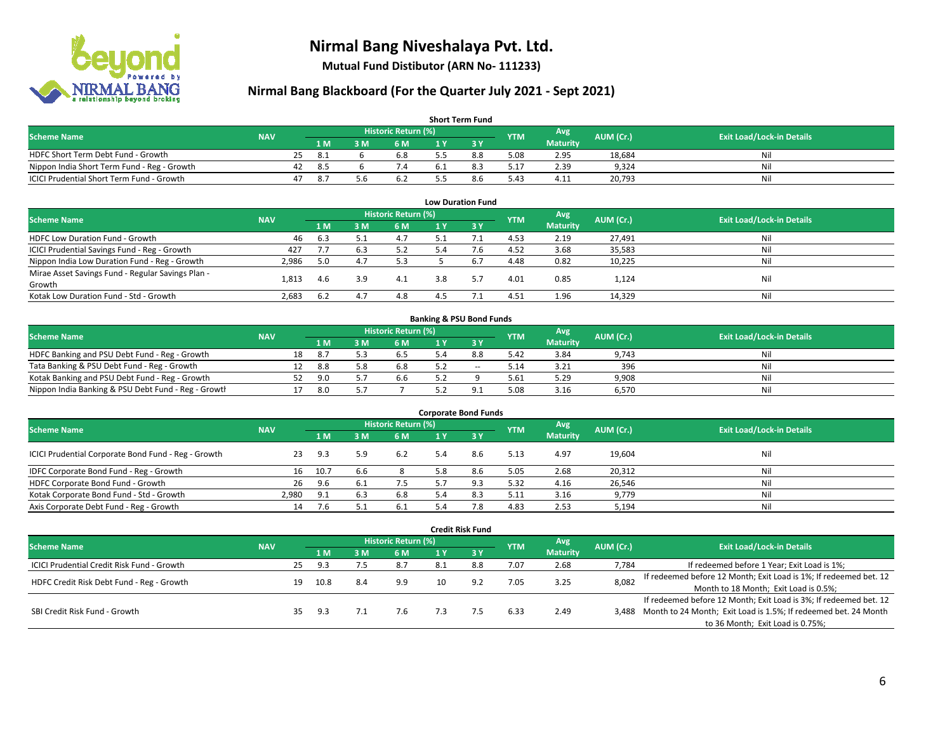

**Mutual Fund Distibutor (ARN No- 111233)**

### **Nirmal Bang Blackboard (For the Quarter July 2021 - Sept 2021)**

| <b>Short Term Fund</b>                           |            |    |      |     |                     |     |     |            |                 |           |                                  |  |  |  |
|--------------------------------------------------|------------|----|------|-----|---------------------|-----|-----|------------|-----------------|-----------|----------------------------------|--|--|--|
| <b>Scheme Name</b>                               | <b>NAV</b> |    |      |     | Historic Return (%) |     |     | <b>YTM</b> | Avg             | AUM (Cr.) | <b>Exit Load/Lock-in Details</b> |  |  |  |
|                                                  |            |    | 1 M  | в м | 6 M                 | 1 Y |     |            | <b>Maturity</b> |           |                                  |  |  |  |
| HDFC Short Term Debt Fund - Growth               |            | 25 | -8.1 |     | 6.8                 |     | 8.8 | 5.08       | 2.95            | 18.684    | Nil                              |  |  |  |
| Nippon India Short Term Fund - Reg - Growth      |            | 42 | -8.5 |     | 7.4                 |     |     | 17.ذ       | 2.39            | 9.324     | Nil                              |  |  |  |
| <b>ICICI Prudential Short Term Fund - Growth</b> |            | 47 | -8.7 | 5.6 | 6.2                 |     | 8.6 | 5.43       | 4.11            | 20,793    | Nil                              |  |  |  |

| <b>Low Duration Fund</b>                          |            |     |     |                            |     |      |            |                 |           |                                  |  |  |  |
|---------------------------------------------------|------------|-----|-----|----------------------------|-----|------|------------|-----------------|-----------|----------------------------------|--|--|--|
| <b>Scheme Name</b>                                | <b>NAV</b> |     |     | <b>Historic Return (%)</b> |     |      | <b>YTM</b> | Avg             | AUM (Cr.) | <b>Exit Load/Lock-in Details</b> |  |  |  |
|                                                   |            | 1 M | 3 M | 6 M                        |     | -3 Y |            | <b>Maturity</b> |           |                                  |  |  |  |
| HDFC Low Duration Fund - Growth                   | 46         | 6.3 |     | 4.7                        | 5.1 |      | 4.53       | 2.19            | 27,491    | Nil                              |  |  |  |
| ICICI Prudential Savings Fund - Reg - Growth      | 427        | 7.7 | 6.3 | 5.2                        | 5.4 | 7.6  | 4.52       | 3.68            | 35,583    | Nil                              |  |  |  |
| Nippon India Low Duration Fund - Reg - Growth     | 2,986      | 5.0 | 4.7 | 5.3                        |     | 6.7  | 4.48       | 0.82            | 10,225    | Nil                              |  |  |  |
| Mirae Asset Savings Fund - Regular Savings Plan - |            |     | 3.9 | 4.1                        | 3.8 |      |            |                 |           | Nil                              |  |  |  |
| Growth                                            | 1.813      | 4.b |     |                            |     |      | 4.01       | 0.85            | 1,124     |                                  |  |  |  |
| Kotak Low Duration Fund - Std - Growth            | 2,683      | 6.2 | 4.  | 4.8                        |     |      | 4.51       | 1.96            | 14,329    | Nil                              |  |  |  |

| <b>Banking &amp; PSU Bond Funds</b>                 |            |    |      |     |                     |  |       |            |                 |           |                                  |  |  |  |
|-----------------------------------------------------|------------|----|------|-----|---------------------|--|-------|------------|-----------------|-----------|----------------------------------|--|--|--|
| <b>Scheme Name</b>                                  | <b>NAV</b> |    |      |     | Historic Return (%) |  |       | <b>YTM</b> | Avg             | AUM (Cr.) | <b>Exit Load/Lock-in Details</b> |  |  |  |
|                                                     |            |    | 4 M. | ያ M | 6 M                 |  |       |            | <b>Maturity</b> |           |                                  |  |  |  |
| HDFC Banking and PSU Debt Fund - Reg - Growth       |            | 18 | -8.7 |     | 6.5                 |  | 8.8   | 5.42       | 3.84            | 9,743     | Nil                              |  |  |  |
| Tata Banking & PSU Debt Fund - Reg - Growth         |            |    | -8.8 | 5.8 | 6.8                 |  | $- -$ | 5.14       | 3.21            | 396       | Nil                              |  |  |  |
| Kotak Banking and PSU Debt Fund - Reg - Growth      |            |    | 9.0  |     | 6.6                 |  |       | 5.61       | 5.29            | 9,908     | Nil                              |  |  |  |
| Nippon India Banking & PSU Debt Fund - Reg - Growth |            |    | 8.0  |     |                     |  |       | 5.08       | 3.16            | 6,570     | Nil                              |  |  |  |

| <b>Corporate Bond Funds</b>                         |            |      |      |                            |     |      |            |                 |           |                                  |  |  |  |
|-----------------------------------------------------|------------|------|------|----------------------------|-----|------|------------|-----------------|-----------|----------------------------------|--|--|--|
| <b>Scheme Name</b>                                  | <b>NAV</b> |      |      | <b>Historic Return (%)</b> |     |      | <b>YTM</b> | Avg             | AUM (Cr.) | <b>Exit Load/Lock-in Details</b> |  |  |  |
|                                                     |            | 1 M  | IM የ | 6 M                        |     | -3 Y |            | <b>Maturity</b> |           |                                  |  |  |  |
| ICICI Prudential Corporate Bond Fund - Reg - Growth | 23         | 9.3  | 5.9  | 6.2                        | 5.4 | 8.6  | 5.13       | 4.97            | 19,604    | Nil                              |  |  |  |
| IDFC Corporate Bond Fund - Reg - Growth             | 16         | 10.7 | b.b  |                            | 5.8 | 8.6  | 5.05       | 2.68            | 20,312    | Nil                              |  |  |  |
| HDFC Corporate Bond Fund - Growth                   | 26         | 9.6  |      | 7.5                        |     |      | 5.32       | 4.16            | 26,546    | Nil                              |  |  |  |
| Kotak Corporate Bond Fund - Std - Growth            | 2.980      | 9.1  |      | 6.8                        | 5.4 |      | 5.11       | 3.16            | 9,779     | Nil                              |  |  |  |
| Axis Corporate Debt Fund - Reg - Growth             | 14         |      |      | 6.1                        |     | 7.8  | 4.83       | 2.53            | 5,194     | Nil                              |  |  |  |

|                                            |            |    |      |     |                            |     | <b>Credit Risk Fund</b> |            |                        |           |                                                                       |
|--------------------------------------------|------------|----|------|-----|----------------------------|-----|-------------------------|------------|------------------------|-----------|-----------------------------------------------------------------------|
| <b>Scheme Name</b>                         | <b>NAV</b> |    |      |     | <b>Historic Return (%)</b> |     |                         | <b>YTM</b> | Avg<br><b>Maturity</b> | AUM (Cr.) | <b>Exit Load/Lock-in Details</b>                                      |
|                                            |            |    | 1 M  | 3 M | 6 M                        | 1 Y | <b>3Y</b>               |            |                        |           |                                                                       |
| ICICI Prudential Credit Risk Fund - Growth |            | 25 | 9.3  |     | 8.7                        | 8.1 | 8.8                     | 7.07       | 2.68                   | 7,784     | If redeemed before 1 Year; Exit Load is 1%;                           |
| HDFC Credit Risk Debt Fund - Reg - Growth  |            | 19 | 10.8 | 8.4 | 9.9                        | 10  | 9.2                     | 7.05       | 3.25                   | 8,082     | If redeemed before 12 Month; Exit Load is 1%; If redeemed bet. 12     |
|                                            |            |    |      |     |                            |     |                         |            |                        |           | Month to 18 Month; Exit Load is 0.5%;                                 |
|                                            |            |    |      |     |                            |     |                         |            |                        |           | If redeemed before 12 Month; Exit Load is 3%; If redeemed bet. 12     |
| SBI Credit Risk Fund - Growth              |            | 35 | 9.3  |     | 7.6                        | 7.3 |                         | 6.33       | 2.49                   |           | 3,488 Month to 24 Month; Exit Load is 1.5%; If redeemed bet. 24 Month |
|                                            |            |    |      |     |                            |     |                         |            |                        |           | to 36 Month; Exit Load is 0.75%;                                      |